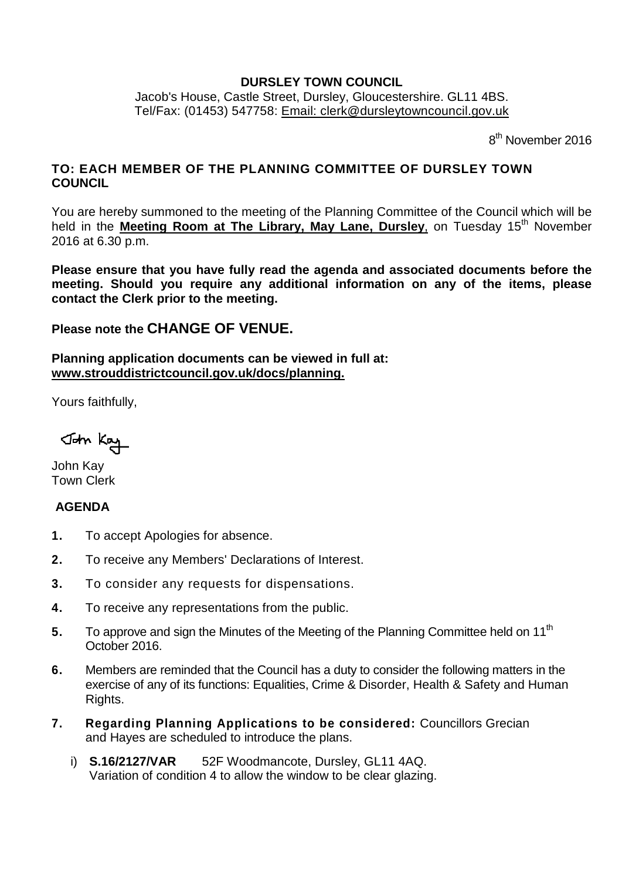#### **DURSLEY TOWN COUNCIL**

Jacob's House, Castle Street, Dursley, Gloucestershire. GL11 4BS. Tel/Fax: (01453) 547758: [Email: clerk@dursleytowncouncil.gov.uk](mailto:clerk@dursleytowncouncil.gov.uk)

8<sup>th</sup> November 2016

## **TO: EACH MEMBER OF THE PLANNING COMMITTEE OF DURSLEY TOWN COUNCIL**

You are hereby summoned to the meeting of the Planning Committee of the Council which will be held in the **Meeting Room at The Library, May Lane, Dursley**, on Tuesday 15<sup>th</sup> November 2016 at 6.30 p.m.

**Please ensure that you have fully read the agenda and associated documents before the meeting. Should you require any additional information on any of the items, please contact the Clerk prior to the meeting.** 

# **Please note the CHANGE OF VENUE.**

**Planning application documents can be viewed in full at: [www.strouddistrictcouncil.gov.uk/d](http://www.strouddistrictcouncil.gov.uk/)ocs/planning.**

Yours faithfully,

John Kay

John Kay Town Clerk

## **AGENDA**

- **1.** To accept Apologies for absence.
- **2.** To receive any Members' Declarations of Interest.
- **3.** To consider any requests for dispensations.
- **4.** To receive any representations from the public.
- **5.** To approve and sign the Minutes of the Meeting of the Planning Committee held on 11<sup>th</sup> October 2016.
- **6.** Members are reminded that the Council has a duty to consider the following matters in the exercise of any of its functions: Equalities, Crime & Disorder, Health & Safety and Human Rights.
- **7. Regarding Planning Applications to be considered:** Councillors Grecian and Hayes are scheduled to introduce the plans.
	- i) **S.16/2127/VAR** 52F Woodmancote, Dursley, GL11 4AQ. Variation of condition 4 to allow the window to be clear glazing.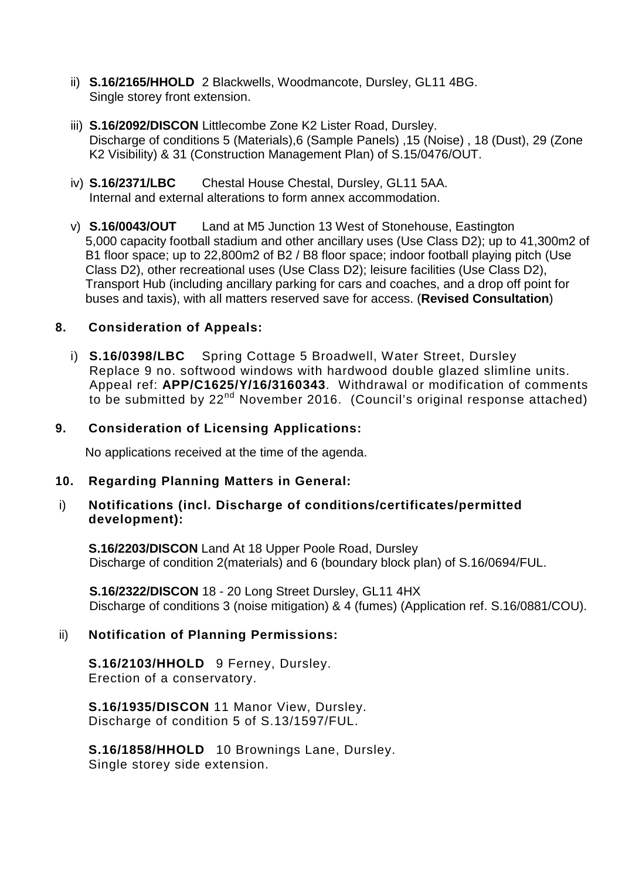- ii) **S.16/2165/HHOLD** 2 Blackwells, Woodmancote, Dursley, GL11 4BG. Single storey front extension.
- iii) **S.16/2092/DISCON** Littlecombe Zone K2 Lister Road, Dursley. Discharge of conditions 5 (Materials),6 (Sample Panels) ,15 (Noise) , 18 (Dust), 29 (Zone K2 Visibility) & 31 (Construction Management Plan) of S.15/0476/OUT.
- iv) **S.16/2371/LBC** Chestal House Chestal, Dursley, GL11 5AA. Internal and external alterations to form annex accommodation.
- v) **S.16/0043/OUT** Land at M5 Junction 13 West of Stonehouse, Eastington 5,000 capacity football stadium and other ancillary uses (Use Class D2); up to 41,300m2 of B1 floor space; up to 22,800m2 of B2 / B8 floor space; indoor football playing pitch (Use Class D2), other recreational uses (Use Class D2); leisure facilities (Use Class D2), Transport Hub (including ancillary parking for cars and coaches, and a drop off point for buses and taxis), with all matters reserved save for access. (**Revised Consultation**)

## **8. Consideration of Appeals:**

i) **S.16/0398/LBC** Spring Cottage 5 Broadwell, Water Street, Dursley Replace 9 no. softwood windows with hardwood double glazed slimline units. Appeal ref: **APP/C1625/Y/16/3160343**. Withdrawal or modification of comments to be submitted by 22nd November 2016. (Council's original response attached)

## **9. Consideration of Licensing Applications:**

No applications received at the time of the agenda.

## **10. Regarding Planning Matters in General:**

#### i) **Notifications (incl. Discharge of conditions/certificates/permitted development):**

**S.16/2203/DISCON** Land At 18 Upper Poole Road, Dursley Discharge of condition 2(materials) and 6 (boundary block plan) of S.16/0694/FUL.

**S.16/2322/DISCON** 18 - 20 Long Street Dursley, GL11 4HX Discharge of conditions 3 (noise mitigation) & 4 (fumes) (Application ref. S.16/0881/COU).

## ii) **Notification of Planning Permissions:**

**S.16/2103/HHOLD** 9 Ferney, Dursley. Erection of a conservatory.

**S.16/1935/DISCON** 11 Manor View, Dursley. Discharge of condition 5 of S.13/1597/FUL.

**S.16/1858/HHOLD** 10 Brownings Lane, Dursley. Single storey side extension.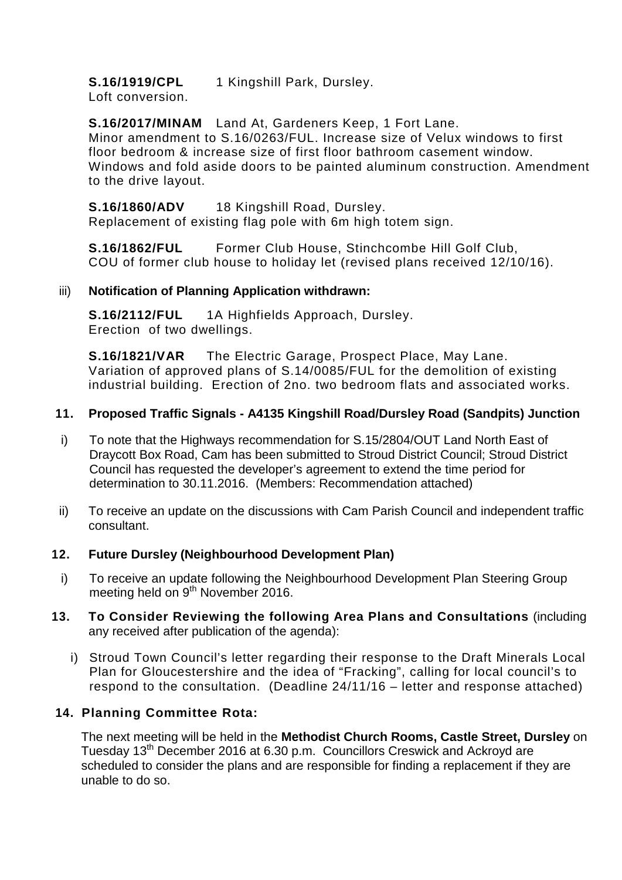**S.16/1919/CPL** 1 Kingshill Park, Dursley.

Loft conversion.

#### **S.16/2017/MINAM** Land At, Gardeners Keep, 1 Fort Lane.

Minor amendment to S.16/0263/FUL. Increase size of Velux windows to first floor bedroom & increase size of first floor bathroom casement window. Windows and fold aside doors to be painted aluminum construction. Amendment to the drive layout.

#### **S.16/1860/ADV** 18 Kingshill Road, Dursley.

Replacement of existing flag pole with 6m high totem sign.

**S.16/1862/FUL** Former Club House, Stinchcombe Hill Golf Club, COU of former club house to holiday let (revised plans received 12/10/16).

#### iii) **Notification of Planning Application withdrawn:**

**S.16/2112/FUL** 1A Highfields Approach, Dursley. Erection of two dwellings.

**S.16/1821/VAR** The Electric Garage, Prospect Place, May Lane. Variation of approved plans of S.14/0085/FUL for the demolition of existing industrial building. Erection of 2no. two bedroom flats and associated works.

## **11. Proposed Traffic Signals - A4135 Kingshill Road/Dursley Road (Sandpits) Junction**

- i) To note that the Highways recommendation for S.15/2804/OUT Land North East of Draycott Box Road, Cam has been submitted to Stroud District Council; Stroud District Council has requested the developer's agreement to extend the time period for determination to 30.11.2016. (Members: Recommendation attached)
- ii) To receive an update on the discussions with Cam Parish Council and independent traffic consultant.

## **12. Future Dursley (Neighbourhood Development Plan)**

- i) To receive an update following the Neighbourhood Development Plan Steering Group meeting held on 9<sup>th</sup> November 2016.
- **13. To Consider Reviewing the following Area Plans and Consultations** (including any received after publication of the agenda):
	- i) Stroud Town Council's letter regarding their response to the Draft Minerals Local Plan for Gloucestershire and the idea of "Fracking", calling for local council's to respond to the consultation. (Deadline 24/11/16 – letter and response attached)

## **14. Planning Committee Rota:**

The next meeting will be held in the **Methodist Church Rooms, Castle Street, Dursley** on Tuesday 13<sup>th</sup> December 2016 at 6.30 p.m. Councillors Creswick and Ackroyd are scheduled to consider the plans and are responsible for finding a replacement if they are unable to do so.